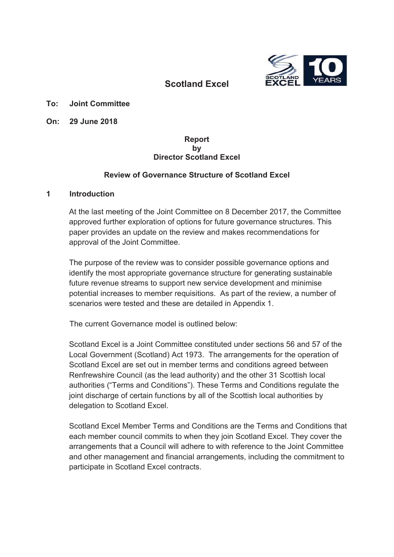

# **Scotland Excel**

**To: Joint Committee**

**On: 29 June 2018**

#### **Report by Director Scotland Excel**

### **Review of Governance Structure of Scotland Excel**

#### **1 Introduction**

At the last meeting of the Joint Committee on 8 December 2017, the Committee approved further exploration of options for future governance structures. This paper provides an update on the review and makes recommendations for approval of the Joint Committee.

The purpose of the review was to consider possible governance options and identify the most appropriate governance structure for generating sustainable future revenue streams to support new service development and minimise potential increases to member requisitions. As part of the review, a number of scenarios were tested and these are detailed in Appendix 1.

The current Governance model is outlined below:

Scotland Excel is a Joint Committee constituted under sections 56 and 57 of the Local Government (Scotland) Act 1973. The arrangements for the operation of Scotland Excel are set out in member terms and conditions agreed between Renfrewshire Council (as the lead authority) and the other 31 Scottish local authorities ("Terms and Conditions"). These Terms and Conditions regulate the joint discharge of certain functions by all of the Scottish local authorities by delegation to Scotland Excel.

Scotland Excel Member Terms and Conditions are the Terms and Conditions that each member council commits to when they join Scotland Excel. They cover the arrangements that a Council will adhere to with reference to the Joint Committee and other management and financial arrangements, including the commitment to participate in Scotland Excel contracts.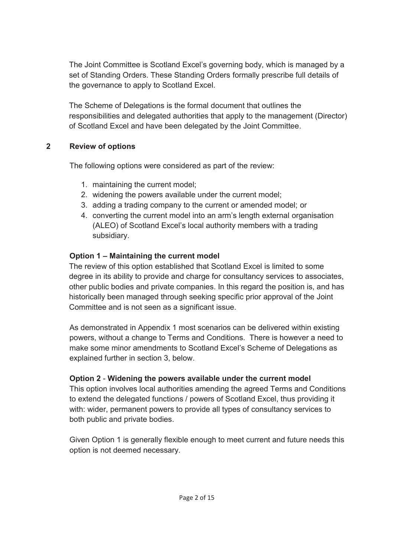The Joint Committee is Scotland Excel's governing body, which is managed by a set of Standing Orders. These Standing Orders formally prescribe full details of the governance to apply to Scotland Excel.

The Scheme of Delegations is the formal document that outlines the responsibilities and delegated authorities that apply to the management (Director) of Scotland Excel and have been delegated by the Joint Committee.

## **2 Review of options**

The following options were considered as part of the review:

- 1. maintaining the current model;
- 2. widening the powers available under the current model;
- 3. adding a trading company to the current or amended model; or
- 4. converting the current model into an arm's length external organisation (ALEO) of Scotland Excel's local authority members with a trading subsidiary.

### **Option 1 – Maintaining the current model**

The review of this option established that Scotland Excel is limited to some degree in its ability to provide and charge for consultancy services to associates, other public bodies and private companies. In this regard the position is, and has historically been managed through seeking specific prior approval of the Joint Committee and is not seen as a significant issue.

As demonstrated in Appendix 1 most scenarios can be delivered within existing powers, without a change to Terms and Conditions. There is however a need to make some minor amendments to Scotland Excel's Scheme of Delegations as explained further in section 3, below.

### **Option 2** - **Widening the powers available under the current model**

This option involves local authorities amending the agreed Terms and Conditions to extend the delegated functions / powers of Scotland Excel, thus providing it with: wider, permanent powers to provide all types of consultancy services to both public and private bodies.

Given Option 1 is generally flexible enough to meet current and future needs this option is not deemed necessary.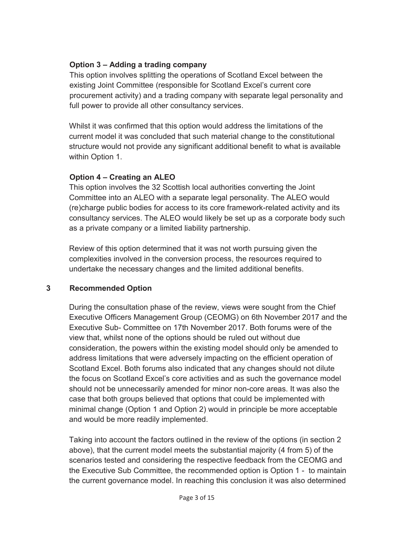## **Option 3 – Adding a trading company**

This option involves splitting the operations of Scotland Excel between the existing Joint Committee (responsible for Scotland Excel's current core procurement activity) and a trading company with separate legal personality and full power to provide all other consultancy services.

Whilst it was confirmed that this option would address the limitations of the current model it was concluded that such material change to the constitutional structure would not provide any significant additional benefit to what is available within Option 1.

## **Option 4 – Creating an ALEO**

This option involves the 32 Scottish local authorities converting the Joint Committee into an ALEO with a separate legal personality. The ALEO would (re)charge public bodies for access to its core framework-related activity and its consultancy services. The ALEO would likely be set up as a corporate body such as a private company or a limited liability partnership.

Review of this option determined that it was not worth pursuing given the complexities involved in the conversion process, the resources required to undertake the necessary changes and the limited additional benefits.

## **3 Recommended Option**

During the consultation phase of the review, views were sought from the Chief Executive Officers Management Group (CEOMG) on 6th November 2017 and the Executive Sub- Committee on 17th November 2017. Both forums were of the view that, whilst none of the options should be ruled out without due consideration, the powers within the existing model should only be amended to address limitations that were adversely impacting on the efficient operation of Scotland Excel. Both forums also indicated that any changes should not dilute the focus on Scotland Excel's core activities and as such the governance model should not be unnecessarily amended for minor non-core areas. It was also the case that both groups believed that options that could be implemented with minimal change (Option 1 and Option 2) would in principle be more acceptable and would be more readily implemented.

Taking into account the factors outlined in the review of the options (in section 2 above), that the current model meets the substantial majority (4 from 5) of the scenarios tested and considering the respective feedback from the CEOMG and the Executive Sub Committee, the recommended option is Option 1 - to maintain the current governance model. In reaching this conclusion it was also determined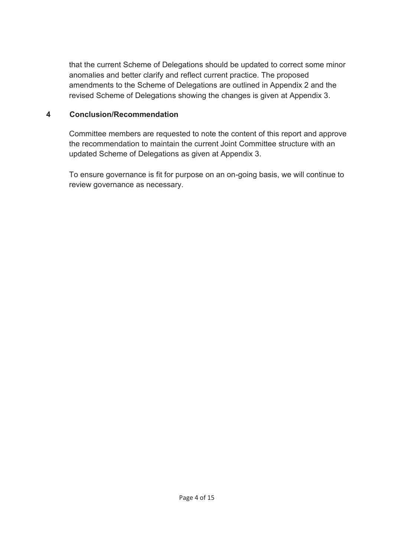that the current Scheme of Delegations should be updated to correct some minor anomalies and better clarify and reflect current practice. The proposed amendments to the Scheme of Delegations are outlined in Appendix 2 and the revised Scheme of Delegations showing the changes is given at Appendix 3.

### **4 Conclusion/Recommendation**

Committee members are requested to note the content of this report and approve the recommendation to maintain the current Joint Committee structure with an updated Scheme of Delegations as given at Appendix 3.

To ensure governance is fit for purpose on an on-going basis, we will continue to review governance as necessary.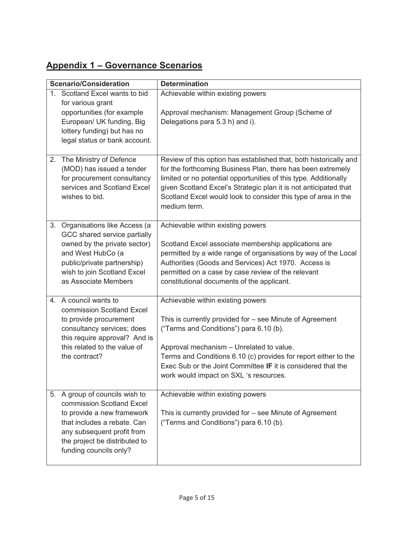# **Appendix 1 – Governance Scenarios**

| <b>Scenario/Consideration</b>                                                                                                                                                                                     | <b>Determination</b>                                                                                                                                                                                                                                                                                                                                              |
|-------------------------------------------------------------------------------------------------------------------------------------------------------------------------------------------------------------------|-------------------------------------------------------------------------------------------------------------------------------------------------------------------------------------------------------------------------------------------------------------------------------------------------------------------------------------------------------------------|
| 1. Scotland Excel wants to bid<br>for various grant<br>opportunities (for example<br>European/ UK funding, Big<br>lottery funding) but has no<br>legal status or bank account.                                    | Achievable within existing powers<br>Approval mechanism: Management Group (Scheme of<br>Delegations para 5.3 h) and i).                                                                                                                                                                                                                                           |
| The Ministry of Defence<br>2.<br>(MOD) has issued a tender<br>for procurement consultancy<br>services and Scotland Excel<br>wishes to bid.                                                                        | Review of this option has established that, both historically and<br>for the forthcoming Business Plan, there has been extremely<br>limited or no potential opportunities of this type. Additionally<br>given Scotland Excel's Strategic plan it is not anticipated that<br>Scotland Excel would look to consider this type of area in the<br>medium term.        |
| Organisations like Access (a<br>3.<br>GCC shared service partially<br>owned by the private sector)<br>and West HubCo (a<br>public/private partnership)<br>wish to join Scotland Excel<br>as Associate Members     | Achievable within existing powers<br>Scotland Excel associate membership applications are<br>permitted by a wide range of organisations by way of the Local<br>Authorities (Goods and Services) Act 1970. Access is<br>permitted on a case by case review of the relevant<br>constitutional documents of the applicant.                                           |
| 4. A council wants to<br>commission Scotland Excel<br>to provide procurement<br>consultancy services; does<br>this require approval? And is<br>this related to the value of<br>the contract?                      | Achievable within existing powers<br>This is currently provided for - see Minute of Agreement<br>("Terms and Conditions") para 6.10 (b).<br>Approval mechanism - Unrelated to value.<br>Terms and Conditions 6.10 (c) provides for report either to the<br>Exec Sub or the Joint Committee IF it is considered that the<br>work would impact on SXL 's resources. |
| 5. A group of councils wish to<br>commission Scotland Excel<br>to provide a new framework<br>that includes a rebate. Can<br>any subsequent profit from<br>the project be distributed to<br>funding councils only? | Achievable within existing powers<br>This is currently provided for - see Minute of Agreement<br>("Terms and Conditions") para 6.10 (b).                                                                                                                                                                                                                          |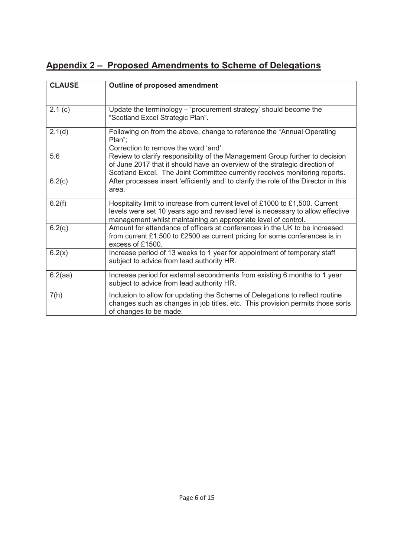# **Appendix 2 – Proposed Amendments to Scheme of Delegations**

| <b>CLAUSE</b> | <b>Outline of proposed amendment</b>                                                                                                                                                                                                     |
|---------------|------------------------------------------------------------------------------------------------------------------------------------------------------------------------------------------------------------------------------------------|
|               |                                                                                                                                                                                                                                          |
| 2.1(c)        | Update the terminology – 'procurement strategy' should become the<br>"Scotland Excel Strategic Plan".                                                                                                                                    |
| 2.1(d)        | Following on from the above, change to reference the "Annual Operating"<br>Plan";<br>Correction to remove the word 'and'.                                                                                                                |
| 5.6           | Review to clarify responsibility of the Management Group further to decision<br>of June 2017 that it should have an overview of the strategic direction of<br>Scotland Excel. The Joint Committee currently receives monitoring reports. |
| 6.2(c)        | After processes insert 'efficiently and' to clarify the role of the Director in this<br>area.                                                                                                                                            |
| 6.2(f)        | Hospitality limit to increase from current level of £1000 to £1,500. Current<br>levels were set 10 years ago and revised level is necessary to allow effective<br>management whilst maintaining an appropriate level of control.         |
| 6.2(q)        | Amount for attendance of officers at conferences in the UK to be increased<br>from current £1,500 to £2500 as current pricing for some conferences is in<br>excess of £1500.                                                             |
| 6.2(x)        | Increase period of 13 weeks to 1 year for appointment of temporary staff<br>subject to advice from lead authority HR.                                                                                                                    |
| 6.2(aa)       | Increase period for external secondments from existing 6 months to 1 year<br>subject to advice from lead authority HR.                                                                                                                   |
| 7(h)          | Inclusion to allow for updating the Scheme of Delegations to reflect routine<br>changes such as changes in job titles, etc. This provision permits those sorts<br>of changes to be made.                                                 |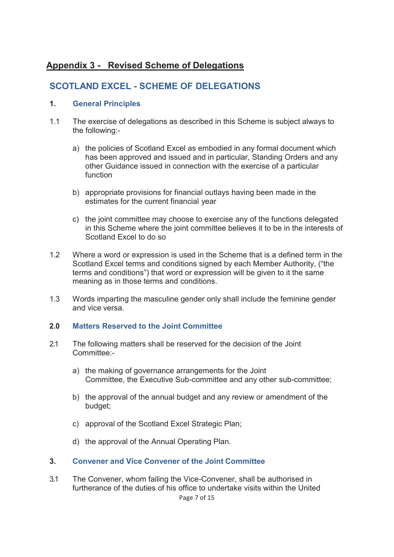# **Appendix 3 - Revised Scheme of Delegations**

# **SCOTLAND EXCEL - SCHEME OF DELEGATIONS**

### **1. General Principles**

- 1.1 The exercise of delegations as described in this Scheme is subject always to the following:
	- a) the policies of Scotland Excel as embodied in any formal document which has been approved and issued and in particular, Standing Orders and any other Guidance issued in connection with the exercise of a particular function
	- b) appropriate provisions for financial outlays having been made in the estimates for the current financial year
	- c) the joint committee may choose to exercise any of the functions delegated in this Scheme where the joint committee believes it to be in the interests of Scotland Excel to do so
- 1.2 Where a word or expression is used in the Scheme that is a defined term in the Scotland Excel terms and conditions signed by each Member Authority, ("the terms and conditions") that word or expression will be given to it the same meaning as in those terms and conditions.
- 1.3 Words imparting the masculine gender only shall include the feminine gender and vice versa.

### **2.0 Matters Reserved to the Joint Committee**

- 2.1 The following matters shall be reserved for the decision of the Joint Committee:
	- a) the making of governance arrangements for the Joint Committee, the Executive Sub-committee and any other sub-committee;
	- b) the approval of the annual budget and any review or amendment of the budget;
	- c) approval of the Scotland Excel Strategic Plan;
	- d) the approval of the Annual Operating Plan.
- **3. Convener and Vice Convener of the Joint Committee**
- Page 7 of 15 3.1 The Convener, whom failing the Vice-Convener, shall be authorised in furtherance of the duties of his office to undertake visits within the United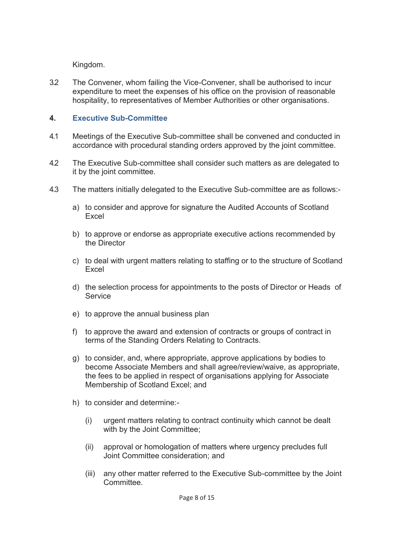Kingdom.

3.2 The Convener, whom failing the Vice-Convener, shall be authorised to incur expenditure to meet the expenses of his office on the provision of reasonable hospitality, to representatives of Member Authorities or other organisations.

## **4. Executive Sub-Committee**

- 4.1 Meetings of the Executive Sub-committee shall be convened and conducted in accordance with procedural standing orders approved by the joint committee.
- 4.2 The Executive Sub-committee shall consider such matters as are delegated to it by the joint committee.
- 4.3 The matters initially delegated to the Executive Sub-committee are as follows:
	- a) to consider and approve for signature the Audited Accounts of Scotland Excel
	- b) to approve or endorse as appropriate executive actions recommended by the Director
	- c) to deal with urgent matters relating to staffing or to the structure of Scotland Excel
	- d) the selection process for appointments to the posts of Director or Heads of **Service**
	- e) to approve the annual business plan
	- f) to approve the award and extension of contracts or groups of contract in terms of the Standing Orders Relating to Contracts.
	- g) to consider, and, where appropriate, approve applications by bodies to become Associate Members and shall agree/review/waive, as appropriate, the fees to be applied in respect of organisations applying for Associate Membership of Scotland Excel; and
	- h) to consider and determine:-
		- (i) urgent matters relating to contract continuity which cannot be dealt with by the Joint Committee;
		- (ii) approval or homologation of matters where urgency precludes full Joint Committee consideration; and
		- (iii) any other matter referred to the Executive Sub-committee by the Joint **Committee**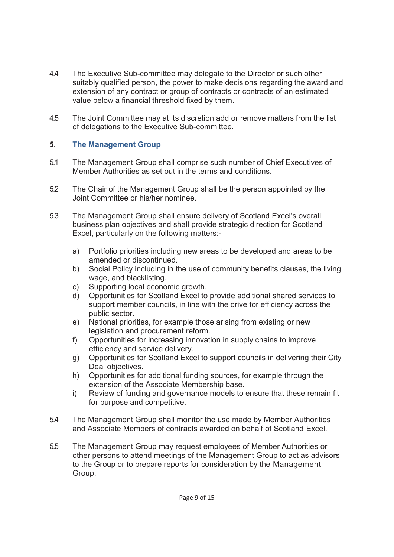- 4.4 The Executive Sub-committee may delegate to the Director or such other suitably qualified person, the power to make decisions regarding the award and extension of any contract or group of contracts or contracts of an estimated value below a financial threshold fixed by them.
- 4.5 The Joint Committee may at its discretion add or remove matters from the list of delegations to the Executive Sub-committee.

### **5. The Management Group**

- 5.1 The Management Group shall comprise such number of Chief Executives of Member Authorities as set out in the terms and conditions.
- 5.2 The Chair of the Management Group shall be the person appointed by the Joint Committee or his/her nominee.
- 5.3 The Management Group shall ensure delivery of Scotland Excel's overall business plan objectives and shall provide strategic direction for Scotland Excel, particularly on the following matters:
	- a) Portfolio priorities including new areas to be developed and areas to be amended or discontinued.
	- b) Social Policy including in the use of community benefits clauses, the living wage, and blacklisting.
	- c) Supporting local economic growth.
	- d) Opportunities for Scotland Excel to provide additional shared services to support member councils, in line with the drive for efficiency across the public sector.
	- e) National priorities, for example those arising from existing or new legislation and procurement reform.
	- f) Opportunities for increasing innovation in supply chains to improve efficiency and service delivery.
	- g) Opportunities for Scotland Excel to support councils in delivering their City Deal objectives.
	- h) Opportunities for additional funding sources, for example through the extension of the Associate Membership base.
	- i) Review of funding and governance models to ensure that these remain fit for purpose and competitive.
- 5.4 The Management Group shall monitor the use made by Member Authorities and Associate Members of contracts awarded on behalf of Scotland Excel.
- 5.5 The Management Group may request employees of Member Authorities or other persons to attend meetings of the Management Group to act as advisors to the Group or to prepare reports for consideration by the Management Group.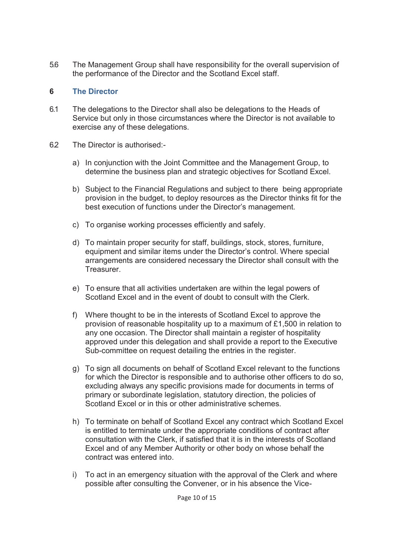5.6 The Management Group shall have responsibility for the overall supervision of the performance of the Director and the Scotland Excel staff.

### **6 The Director**

- 6.1 The delegations to the Director shall also be delegations to the Heads of Service but only in those circumstances where the Director is not available to exercise any of these delegations.
- 6.2 The Director is authorised:
	- a) In conjunction with the Joint Committee and the Management Group, to determine the business plan and strategic objectives for Scotland Excel.
	- b) Subject to the Financial Regulations and subject to there being appropriate provision in the budget, to deploy resources as the Director thinks fit for the best execution of functions under the Director's management.
	- c) To organise working processes efficiently and safely.
	- d) To maintain proper security for staff, buildings, stock, stores, furniture, equipment and similar items under the Director's control. Where special arrangements are considered necessary the Director shall consult with the Treasurer.
	- e) To ensure that all activities undertaken are within the legal powers of Scotland Excel and in the event of doubt to consult with the Clerk.
	- f) Where thought to be in the interests of Scotland Excel to approve the provision of reasonable hospitality up to a maximum of £1,500 in relation to any one occasion. The Director shall maintain a register of hospitality approved under this delegation and shall provide a report to the Executive Sub-committee on request detailing the entries in the register.
	- g) To sign all documents on behalf of Scotland Excel relevant to the functions for which the Director is responsible and to authorise other officers to do so, excluding always any specific provisions made for documents in terms of primary or subordinate legislation, statutory direction, the policies of Scotland Excel or in this or other administrative schemes.
	- h) To terminate on behalf of Scotland Excel any contract which Scotland Excel is entitled to terminate under the appropriate conditions of contract after consultation with the Clerk, if satisfied that it is in the interests of Scotland Excel and of any Member Authority or other body on whose behalf the contract was entered into.
	- i) To act in an emergency situation with the approval of the Clerk and where possible after consulting the Convener, or in his absence the Vice-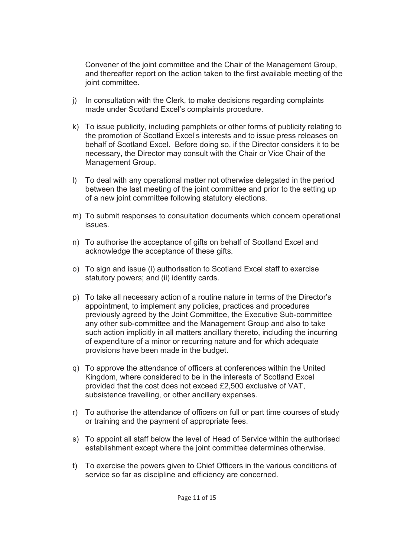Convener of the joint committee and the Chair of the Management Group, and thereafter report on the action taken to the first available meeting of the joint committee.

- j) In consultation with the Clerk, to make decisions regarding complaints made under Scotland Excel's complaints procedure.
- k) To issue publicity, including pamphlets or other forms of publicity relating to the promotion of Scotland Excel's interests and to issue press releases on behalf of Scotland Excel. Before doing so, if the Director considers it to be necessary, the Director may consult with the Chair or Vice Chair of the Management Group.
- l) To deal with any operational matter not otherwise delegated in the period between the last meeting of the joint committee and prior to the setting up of a new joint committee following statutory elections.
- m) To submit responses to consultation documents which concern operational issues.
- n) To authorise the acceptance of gifts on behalf of Scotland Excel and acknowledge the acceptance of these gifts.
- o) To sign and issue (i) authorisation to Scotland Excel staff to exercise statutory powers; and (ii) identity cards.
- p) To take all necessary action of a routine nature in terms of the Director's appointment, to implement any policies, practices and procedures previously agreed by the Joint Committee, the Executive Sub-committee any other sub-committee and the Management Group and also to take such action implicitly in all matters ancillary thereto, including the incurring of expenditure of a minor or recurring nature and for which adequate provisions have been made in the budget.
- q) To approve the attendance of officers at conferences within the United Kingdom, where considered to be in the interests of Scotland Excel provided that the cost does not exceed £2,500 exclusive of VAT, subsistence travelling, or other ancillary expenses.
- r) To authorise the attendance of officers on full or part time courses of study or training and the payment of appropriate fees.
- s) To appoint all staff below the level of Head of Service within the authorised establishment except where the joint committee determines otherwise.
- t) To exercise the powers given to Chief Officers in the various conditions of service so far as discipline and efficiency are concerned.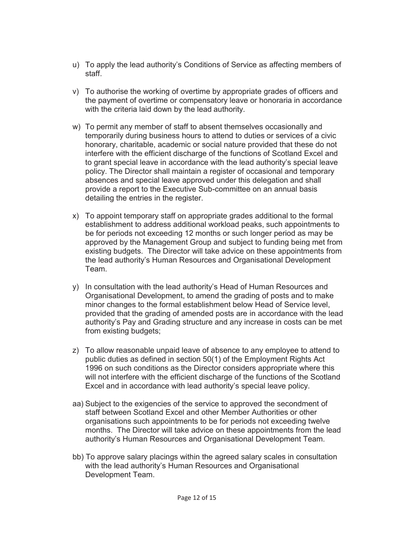- u) To apply the lead authority's Conditions of Service as affecting members of staff.
- v) To authorise the working of overtime by appropriate grades of officers and the payment of overtime or compensatory leave or honoraria in accordance with the criteria laid down by the lead authority.
- w) To permit any member of staff to absent themselves occasionally and temporarily during business hours to attend to duties or services of a civic honorary, charitable, academic or social nature provided that these do not interfere with the efficient discharge of the functions of Scotland Excel and to grant special leave in accordance with the lead authority's special leave policy. The Director shall maintain a register of occasional and temporary absences and special leave approved under this delegation and shall provide a report to the Executive Sub-committee on an annual basis detailing the entries in the register.
- x) To appoint temporary staff on appropriate grades additional to the formal establishment to address additional workload peaks, such appointments to be for periods not exceeding 12 months or such longer period as may be approved by the Management Group and subject to funding being met from existing budgets. The Director will take advice on these appointments from the lead authority's Human Resources and Organisational Development Team.
- y) In consultation with the lead authority's Head of Human Resources and Organisational Development, to amend the grading of posts and to make minor changes to the formal establishment below Head of Service level, provided that the grading of amended posts are in accordance with the lead authority's Pay and Grading structure and any increase in costs can be met from existing budgets;
- z) To allow reasonable unpaid leave of absence to any employee to attend to public duties as defined in section 50(1) of the Employment Rights Act 1996 on such conditions as the Director considers appropriate where this will not interfere with the efficient discharge of the functions of the Scotland Excel and in accordance with lead authority's special leave policy.
- aa) Subject to the exigencies of the service to approved the secondment of staff between Scotland Excel and other Member Authorities or other organisations such appointments to be for periods not exceeding twelve months. The Director will take advice on these appointments from the lead authority's Human Resources and Organisational Development Team.
- bb) To approve salary placings within the agreed salary scales in consultation with the lead authority's Human Resources and Organisational Development Team.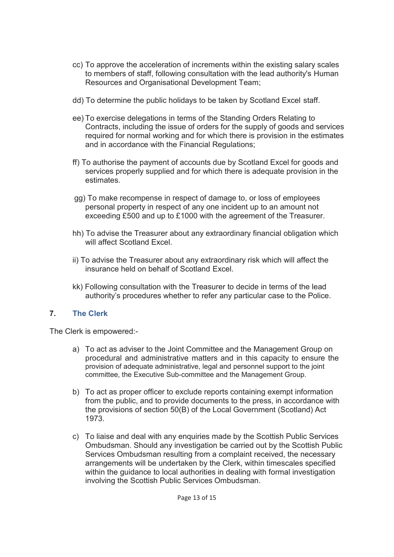- cc) To approve the acceleration of increments within the existing salary scales to members of staff, following consultation with the lead authority's Human Resources and Organisational Development Team;
- dd) To determine the public holidays to be taken by Scotland Excel staff.
- ee) To exercise delegations in terms of the Standing Orders Relating to Contracts, including the issue of orders for the supply of goods and services required for normal working and for which there is provision in the estimates and in accordance with the Financial Regulations;
- ff) To authorise the payment of accounts due by Scotland Excel for goods and services properly supplied and for which there is adequate provision in the estimates.
- gg) To make recompense in respect of damage to, or loss of employees personal property in respect of any one incident up to an amount not exceeding £500 and up to £1000 with the agreement of the Treasurer.
- hh) To advise the Treasurer about any extraordinary financial obligation which will affect Scotland Excel.
- ii) To advise the Treasurer about any extraordinary risk which will affect the insurance held on behalf of Scotland Excel.
- kk) Following consultation with the Treasurer to decide in terms of the lead authority's procedures whether to refer any particular case to the Police.

## **7. The Clerk**

The Clerk is empowered:-

- a) To act as adviser to the Joint Committee and the Management Group on procedural and administrative matters and in this capacity to ensure the provision of adequate administrative, legal and personnel support to the joint committee, the Executive Sub-committee and the Management Group.
- b) To act as proper officer to exclude reports containing exempt information from the public, and to provide documents to the press, in accordance with the provisions of section 50(B) of the Local Government (Scotland) Act 1973.
- c) To liaise and deal with any enquiries made by the Scottish Public Services Ombudsman. Should any investigation be carried out by the Scottish Public Services Ombudsman resulting from a complaint received, the necessary arrangements will be undertaken by the Clerk, within timescales specified within the guidance to local authorities in dealing with formal investigation involving the Scottish Public Services Ombudsman.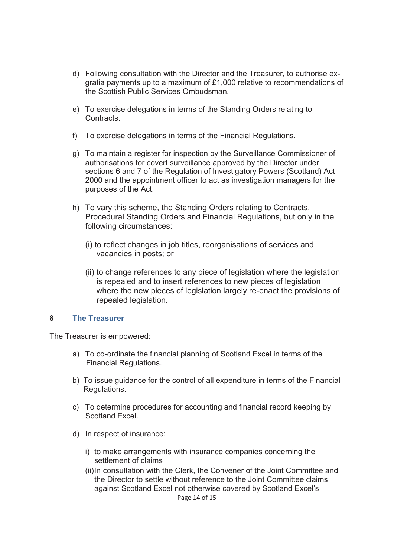- d) Following consultation with the Director and the Treasurer, to authorise exgratia payments up to a maximum of £1,000 relative to recommendations of the Scottish Public Services Ombudsman.
- e) To exercise delegations in terms of the Standing Orders relating to **Contracts**
- f) To exercise delegations in terms of the Financial Regulations.
- g) To maintain a register for inspection by the Surveillance Commissioner of authorisations for covert surveillance approved by the Director under sections 6 and 7 of the Regulation of Investigatory Powers (Scotland) Act 2000 and the appointment officer to act as investigation managers for the purposes of the Act.
- h) To vary this scheme, the Standing Orders relating to Contracts, Procedural Standing Orders and Financial Regulations, but only in the following circumstances:
	- (i) to reflect changes in job titles, reorganisations of services and vacancies in posts; or
	- (ii) to change references to any piece of legislation where the legislation is repealed and to insert references to new pieces of legislation where the new pieces of legislation largely re-enact the provisions of repealed legislation.

### **8 The Treasurer**

The Treasurer is empowered:

- a) To co-ordinate the financial planning of Scotland Excel in terms of the Financial Regulations.
- b) To issue guidance for the control of all expenditure in terms of the Financial Regulations.
- c) To determine procedures for accounting and financial record keeping by Scotland Excel.
- d) In respect of insurance:
	- i) to make arrangements with insurance companies concerning the settlement of claims
	- (ii) In consultation with the Clerk, the Convener of the Joint Committee and the Director to settle without reference to the Joint Committee claims against Scotland Excel not otherwise covered by Scotland Excel's